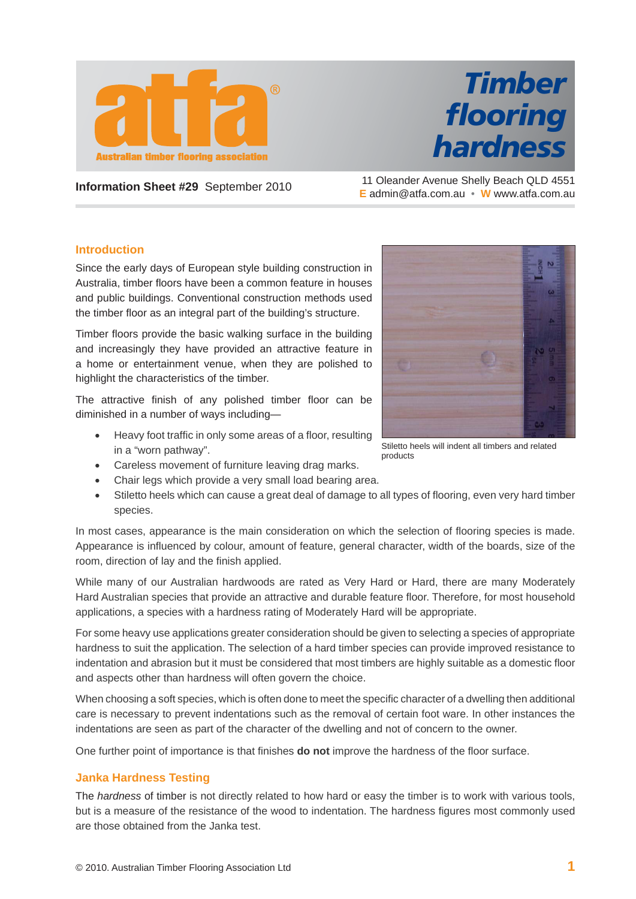

## *Timber fl ooring hardness*

**Information Sheet #29** September 2010 11 Oleander Avenue Shelly Beach QLD 4551 **E** admin@atfa.com.au • **W** www.atfa.com.au

## **Introduction**

Since the early days of European style building construction in Australia, timber floors have been a common feature in houses and public buildings. Conventional construction methods used the timber floor as an integral part of the building's structure.

Timber floors provide the basic walking surface in the building and increasingly they have provided an attractive feature in a home or entertainment venue, when they are polished to highlight the characteristics of the timber.

The attractive finish of any polished timber floor can be diminished in a number of ways including—

- Heavy foot traffic in only some areas of a floor, resulting in a "worn pathway".
- Careless movement of furniture leaving drag marks.
- Chair legs which provide a very small load bearing area.
- Stiletto heels which can cause a great deal of damage to all types of flooring, even very hard timber species.

In most cases, appearance is the main consideration on which the selection of flooring species is made. Appearance is influenced by colour, amount of feature, general character, width of the boards, size of the room, direction of lay and the finish applied.

While many of our Australian hardwoods are rated as Very Hard or Hard, there are many Moderately Hard Australian species that provide an attractive and durable feature floor. Therefore, for most household applications, a species with a hardness rating of Moderately Hard will be appropriate.

For some heavy use applications greater consideration should be given to selecting a species of appropriate hardness to suit the application. The selection of a hard timber species can provide improved resistance to indentation and abrasion but it must be considered that most timbers are highly suitable as a domestic floor and aspects other than hardness will often govern the choice.

When choosing a soft species, which is often done to meet the specific character of a dwelling then additional care is necessary to prevent indentations such as the removal of certain foot ware. In other instances the indentations are seen as part of the character of the dwelling and not of concern to the owner.

One further point of importance is that finishes **do not** improve the hardness of the floor surface.

## **Janka Hardness Testing**

The *hardness* of timber is not directly related to how hard or easy the timber is to work with various tools, but is a measure of the resistance of the wood to indentation. The hardness figures most commonly used are those obtained from the Janka test.



Stiletto heels will indent all timbers and related products